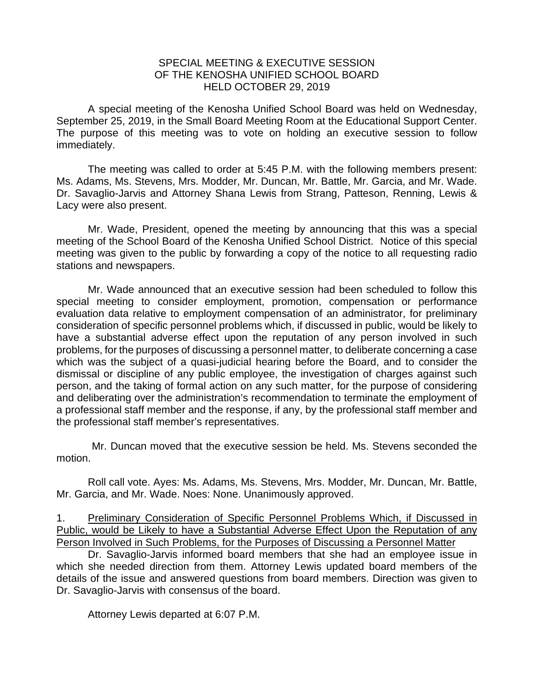## SPECIAL MEETING & EXECUTIVE SESSION OF THE KENOSHA UNIFIED SCHOOL BOARD HELD OCTOBER 29, 2019

A special meeting of the Kenosha Unified School Board was held on Wednesday, September 25, 2019, in the Small Board Meeting Room at the Educational Support Center. The purpose of this meeting was to vote on holding an executive session to follow immediately.

The meeting was called to order at 5:45 P.M. with the following members present: Ms. Adams, Ms. Stevens, Mrs. Modder, Mr. Duncan, Mr. Battle, Mr. Garcia, and Mr. Wade. Dr. Savaglio-Jarvis and Attorney Shana Lewis from Strang, Patteson, Renning, Lewis & Lacy were also present.

Mr. Wade, President, opened the meeting by announcing that this was a special meeting of the School Board of the Kenosha Unified School District. Notice of this special meeting was given to the public by forwarding a copy of the notice to all requesting radio stations and newspapers.

Mr. Wade announced that an executive session had been scheduled to follow this special meeting to consider employment, promotion, compensation or performance evaluation data relative to employment compensation of an administrator, for preliminary consideration of specific personnel problems which, if discussed in public, would be likely to have a substantial adverse effect upon the reputation of any person involved in such problems, for the purposes of discussing a personnel matter, to deliberate concerning a case which was the subject of a quasi-judicial hearing before the Board, and to consider the dismissal or discipline of any public employee, the investigation of charges against such person, and the taking of formal action on any such matter, for the purpose of considering and deliberating over the administration's recommendation to terminate the employment of a professional staff member and the response, if any, by the professional staff member and the professional staff member's representatives.

Mr. Duncan moved that the executive session be held. Ms. Stevens seconded the motion.

Roll call vote. Ayes: Ms. Adams, Ms. Stevens, Mrs. Modder, Mr. Duncan, Mr. Battle, Mr. Garcia, and Mr. Wade. Noes: None. Unanimously approved.

1. Preliminary Consideration of Specific Personnel Problems Which, if Discussed in Public, would be Likely to have a Substantial Adverse Effect Upon the Reputation of any Person Involved in Such Problems, for the Purposes of Discussing a Personnel Matter

Dr. Savaglio-Jarvis informed board members that she had an employee issue in which she needed direction from them. Attorney Lewis updated board members of the details of the issue and answered questions from board members. Direction was given to Dr. Savaglio-Jarvis with consensus of the board.

Attorney Lewis departed at 6:07 P.M.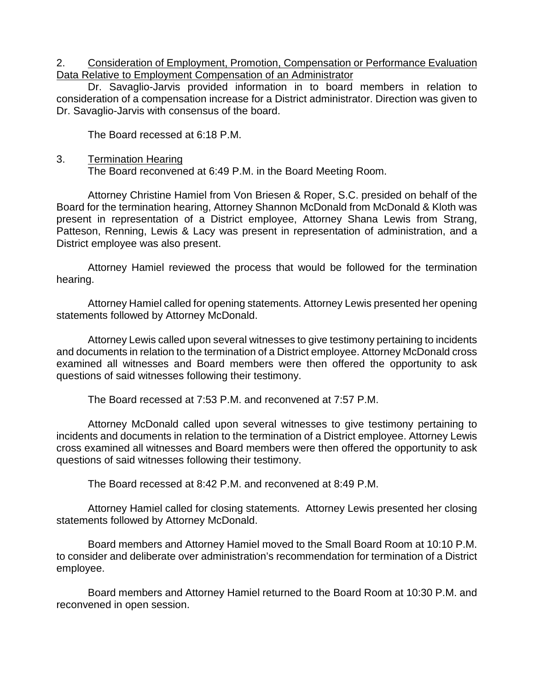## 2. Consideration of Employment, Promotion, Compensation or Performance Evaluation Data Relative to Employment Compensation of an Administrator

Dr. Savaglio-Jarvis provided information in to board members in relation to consideration of a compensation increase for a District administrator. Direction was given to Dr. Savaglio-Jarvis with consensus of the board.

The Board recessed at 6:18 P.M.

3. Termination Hearing

The Board reconvened at 6:49 P.M. in the Board Meeting Room.

Attorney Christine Hamiel from Von Briesen & Roper, S.C. presided on behalf of the Board for the termination hearing, Attorney Shannon McDonald from McDonald & Kloth was present in representation of a District employee, Attorney Shana Lewis from Strang, Patteson, Renning, Lewis & Lacy was present in representation of administration, and a District employee was also present.

Attorney Hamiel reviewed the process that would be followed for the termination hearing.

Attorney Hamiel called for opening statements. Attorney Lewis presented her opening statements followed by Attorney McDonald.

Attorney Lewis called upon several witnesses to give testimony pertaining to incidents and documents in relation to the termination of a District employee. Attorney McDonald cross examined all witnesses and Board members were then offered the opportunity to ask questions of said witnesses following their testimony.

The Board recessed at 7:53 P.M. and reconvened at 7:57 P.M.

Attorney McDonald called upon several witnesses to give testimony pertaining to incidents and documents in relation to the termination of a District employee. Attorney Lewis cross examined all witnesses and Board members were then offered the opportunity to ask questions of said witnesses following their testimony.

The Board recessed at 8:42 P.M. and reconvened at 8:49 P.M.

Attorney Hamiel called for closing statements. Attorney Lewis presented her closing statements followed by Attorney McDonald.

Board members and Attorney Hamiel moved to the Small Board Room at 10:10 P.M. to consider and deliberate over administration's recommendation for termination of a District employee.

Board members and Attorney Hamiel returned to the Board Room at 10:30 P.M. and reconvened in open session.